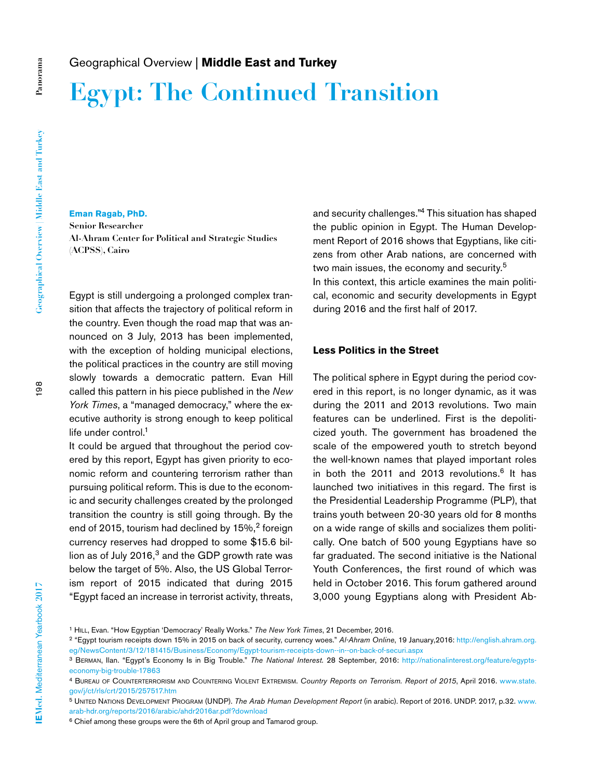# **Egypt: The Continued Transition**

**Panorama**

Panorama

### **Eman Ragab, PhD.**

**Senior Researcher Al-Ahram Center for Political and Strategic Studies (ACPSS), Cairo** 

Egypt is still undergoing a prolonged complex transition that affects the trajectory of political reform in the country. Even though the road map that was announced on 3 July, 2013 has been implemented, with the exception of holding municipal elections, the political practices in the country are still moving slowly towards a democratic pattern. Evan Hill called this pattern in his piece published in the *New York Times*, a "managed democracy," where the executive authority is strong enough to keep political life under control.<sup>1</sup>

It could be argued that throughout the period covered by this report, Egypt has given priority to economic reform and countering terrorism rather than pursuing political reform. This is due to the economic and security challenges created by the prolonged transition the country is still going through. By the end of 2015, tourism had declined by 15%,<sup>2</sup> foreign currency reserves had dropped to some \$15.6 billion as of July  $2016<sup>3</sup>$  and the GDP growth rate was below the target of 5%. Also, the US Global Terrorism report of 2015 indicated that during 2015 "Egypt faced an increase in terrorist activity, threats,

and security challenges."4 This situation has shaped the public opinion in Egypt. The Human Development Report of 2016 shows that Egyptians, like citizens from other Arab nations, are concerned with two main issues, the economy and security.<sup>5</sup> In this context, this article examines the main political, economic and security developments in Egypt during 2016 and the first half of 2017.

#### **Less Politics in the Street**

The political sphere in Egypt during the period covered in this report, is no longer dynamic, as it was during the 2011 and 2013 revolutions. Two main features can be underlined. First is the depoliticized youth. The government has broadened the scale of the empowered youth to stretch beyond the well-known names that played important roles in both the 2011 and 2013 revolutions.<sup>6</sup> It has launched two initiatives in this regard. The first is the Presidential Leadership Programme (PLP), that trains youth between 20-30 years old for 8 months on a wide range of skills and socializes them politically. One batch of 500 young Egyptians have so far graduated. The second initiative is the National Youth Conferences, the first round of which was held in October 2016. This forum gathered around 3,000 young Egyptians along with President Ab-

<sup>1</sup> Hill, Evan. "How Egyptian 'Democracy' Really Works." *The New York Times*, 21 December, 2016.

<sup>2 &</sup>quot;Egypt tourism receipts down 15% in 2015 on back of security, currency woes." *Al-Ahram Online*, 19 January,2016: http://english.ahram.org. eg/NewsContent/3/12/181415/Business/Economy/Egypt-tourism-receipts-down--in--on-back-of-securi.aspx

<sup>3</sup> Berman, Ilan. "Egypt's Economy Is in Big Trouble." *The National Interest*. 28 September, 2016: http://nationalinterest.org/feature/egyptseconomy-big-trouble-17863

<sup>4</sup> Bureau of Counterterrorism and Countering Violent Extremism. *Country Reports on Terrorism. Report of 2015*, April 2016. www.state. gov/j/ct/rls/crt/2015/257517.htm

<sup>5</sup> United Nations Development Program (UNDP). *The Arab Human Development Report* (in arabic). Report of 2016. UNDP. 2017, p.32. www. arab-hdr.org/reports/2016/arabic/ahdr2016ar.pdf?download

<sup>6</sup> Chief among these groups were the 6th of April group and Tamarod group.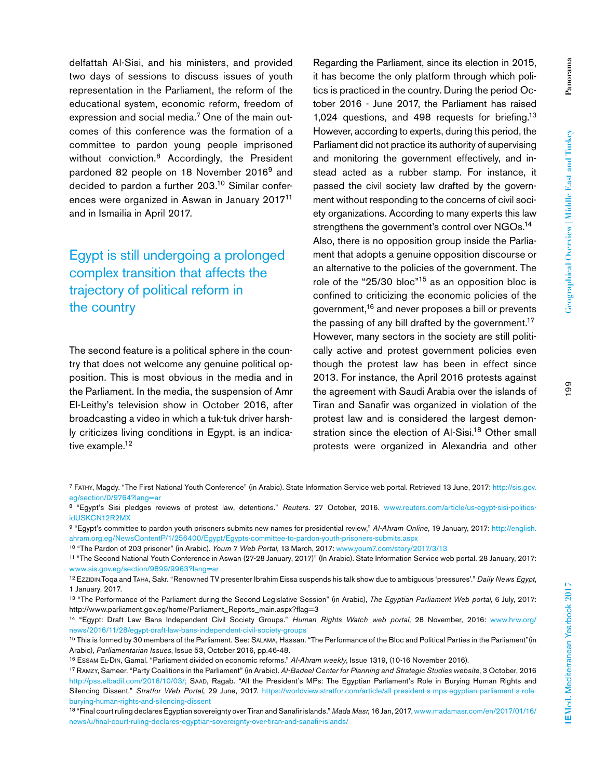delfattah Al-Sisi, and his ministers, and provided two days of sessions to discuss issues of youth representation in the Parliament, the reform of the educational system, economic reform, freedom of expression and social media.7 One of the main outcomes of this conference was the formation of a committee to pardon young people imprisoned without conviction.<sup>8</sup> Accordingly, the President pardoned 82 people on 18 November 2016<sup>9</sup> and decided to pardon a further 203.10 Similar conferences were organized in Aswan in January 201711 and in Ismailia in April 2017.

## Egypt is still undergoing a prolonged complex transition that affects the trajectory of political reform in the country

The second feature is a political sphere in the country that does not welcome any genuine political opposition. This is most obvious in the media and in the Parliament. In the media, the suspension of Amr El-Leithy's television show in October 2016, after broadcasting a video in which a tuk-tuk driver harshly criticizes living conditions in Egypt, is an indicative example.<sup>12</sup>

Regarding the Parliament, since its election in 2015, it has become the only platform through which politics is practiced in the country. During the period October 2016 - June 2017, the Parliament has raised 1,024 questions, and 498 requests for briefing.<sup>13</sup> However, according to experts, during this period, the Parliament did not practice its authority of supervising and monitoring the government effectively, and instead acted as a rubber stamp. For instance, it passed the civil society law drafted by the government without responding to the concerns of civil society organizations. According to many experts this law strengthens the government's control over NGOs.<sup>14</sup> Also, there is no opposition group inside the Parliament that adopts a genuine opposition discourse or an alternative to the policies of the government. The role of the "25/30 bloc"<sup>15</sup> as an opposition bloc is confined to criticizing the economic policies of the government,16 and never proposes a bill or prevents the passing of any bill drafted by the government.<sup>17</sup> However, many sectors in the society are still politically active and protest government policies even though the protest law has been in effect since 2013. For instance, the April 2016 protests against the agreement with Saudi Arabia over the islands of Tiran and Sanafir was organized in violation of the protest law and is considered the largest demonstration since the election of Al-Sisi.<sup>18</sup> Other small protests were organized in Alexandria and other

- <sup>7</sup> Fathy, Magdy. "The First National Youth Conference" (in Arabic). State Information Service web portal. Retrieved 13 June, 2017: http://sis.gov. eg/section/0/9764?lang=ar
- <sup>8</sup> "Egypt's Sisi pledges reviews of protest law, detentions." Reuters. 27 October, 2016. www.reuters.com/article/us-egypt-sisi-politicsidUSKCN12R2MX
- 9 "Egypt's committee to pardon youth prisoners submits new names for presidential review," *Al-Ahram Online*, 19 January, 2017: http://english. ahram.org.eg/NewsContentP/1/256400/Egypt/Egypts-committee-to-pardon-youth-prisoners-submits.aspx
- 10 "The Pardon of 203 prisoner" (in Arabic). *Youm 7 Web Portal*, 13 March, 2017: www.youm7.com/story/2017/3/13

<sup>11 &</sup>quot;The Second National Youth Conference in Aswan (27-28 January, 2017)" (In Arabic). State Information Service web portal. 28 January, 2017: www.sis.gov.eg/section/9899/9963?lang=ar

<sup>12</sup> Ezzidin,Toqa and Taha, Sakr. "Renowned TV presenter Ibrahim Eissa suspends his talk show due to ambiguous 'pressures'." *Daily News Egypt*, 1 January, 2017.

<sup>13 &</sup>quot;The Performance of the Parliament during the Second Legislative Session" (in Arabic), *The Egyptian Parliament Web portal*, 6 July, 2017: http://www.parliament.gov.eg/home/Parliament\_Reports\_main.aspx?flag=3

<sup>14 &</sup>quot;Egypt: Draft Law Bans Independent Civil Society Groups." *Human Rights Watch web portal*, 28 November, 2016: www.hrw.org/ news/2016/11/28/egypt-draft-law-bans-independent-civil-society-groups

<sup>15</sup> This is formed by 30 members of the Parliament. See: Salama, Hassan. "The Performance of the Bloc and Political Parties in the Parliament"(in Arabic), *Parliamentarian Issues*, Issue 53, October 2016, pp.46-48.

<sup>16</sup> Essam El-Din, Gamal. "Parliament divided on economic reforms." *Al-Ahram weekly*, Issue 1319, (10-16 November 2016).

<sup>17</sup> Ramzy, Sameer. "Party Coalitions in the Parliament" (in Arabic). *Al-Badeel Center for Planning and Strategic Studies website*, 3 October, 2016 http://pss.elbadil.com/2016/10/03/; Saad, Ragab. "All the President's MPs: The Egyptian Parliament's Role in Burying Human Rights and Silencing Dissent." *Stratfor Web Portal*, 29 June, 2017. https://worldview.stratfor.com/article/all-president-s-mps-egyptian-parliament-s-roleburying-human-rights-and-silencing-dissent

<sup>18 &</sup>quot;Final court ruling declares Egyptian sovereignty over Tiran and Sanafir islands." *Mada Masr*, 16 Jan, 2017, www.madamasr.com/en/2017/01/16/ news/u/final-court-ruling-declares-egyptian-sovereignty-over-tiran-and-sanafir-islands/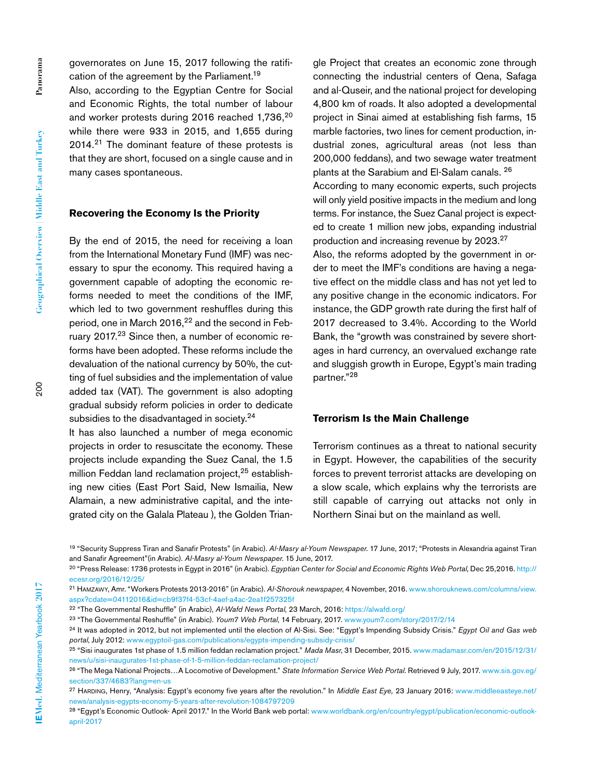governorates on June 15, 2017 following the ratification of the agreement by the Parliament.19

Also, according to the Egyptian Centre for Social and Economic Rights, the total number of labour and worker protests during 2016 reached 1,736,<sup>20</sup> while there were 933 in 2015, and 1,655 during  $2014<sup>21</sup>$  The dominant feature of these protests is that they are short, focused on a single cause and in many cases spontaneous.

### **Recovering the Economy Is the Priority**

By the end of 2015, the need for receiving a loan from the International Monetary Fund (IMF) was necessary to spur the economy. This required having a government capable of adopting the economic reforms needed to meet the conditions of the IMF, which led to two government reshuffles during this period, one in March 2016,<sup>22</sup> and the second in February 2017.23 Since then, a number of economic reforms have been adopted. These reforms include the devaluation of the national currency by 50%, the cutting of fuel subsidies and the implementation of value added tax (VAT). The government is also adopting gradual subsidy reform policies in order to dedicate subsidies to the disadvantaged in society.<sup>24</sup>

It has also launched a number of mega economic projects in order to resuscitate the economy. These projects include expanding the Suez Canal, the 1.5 million Feddan land reclamation project,<sup>25</sup> establishing new cities (East Port Said, New Ismailia, New Alamain, a new administrative capital, and the integrated city on the Galala Plateau ), the Golden Triangle Project that creates an economic zone through connecting the industrial centers of Qena, Safaga and al-Quseir, and the national project for developing 4,800 km of roads. It also adopted a developmental project in Sinai aimed at establishing fish farms, 15 marble factories, two lines for cement production, industrial zones, agricultural areas (not less than 200,000 feddans), and two sewage water treatment plants at the Sarabium and El-Salam canals. 26

According to many economic experts, such projects will only yield positive impacts in the medium and long terms. For instance, the Suez Canal project is expected to create 1 million new jobs, expanding industrial production and increasing revenue by 2023.27

Also, the reforms adopted by the government in order to meet the IMF's conditions are having a negative effect on the middle class and has not yet led to any positive change in the economic indicators. For instance, the GDP growth rate during the first half of 2017 decreased to 3.4%. According to the World Bank, the "growth was constrained by severe shortages in hard currency, an overvalued exchange rate and sluggish growth in Europe, Egypt's main trading partner."<sup>28</sup>

### **Terrorism Is the Main Challenge**

Terrorism continues as a threat to national security in Egypt. However, the capabilities of the security forces to prevent terrorist attacks are developing on a slow scale, which explains why the terrorists are still capable of carrying out attacks not only in Northern Sinai but on the mainland as well.

200

<sup>19 &</sup>quot;Security Suppress Tiran and Sanafir Protests" (in Arabic). *Al-Masry al-Youm Newspaper*. 17 June, 2017; "Protests in Alexandria against Tiran and Sanafir Agreement"(in Arabic). *Al-Masry al-Youm Newspaper*. 15 June, 2017.

<sup>20 &</sup>quot;Press Release: 1736 protests in Egypt in 2016" (in Arabic). *Egyptian Center for Social and Economic Rights Web Portal*, Dec 25,2016. http:// ecesr.org/2016/12/25/

<sup>21</sup> Hamzawy, Amr. "Workers Protests 2013-2016" (in Arabic). *Al-Shorouk newspaper*, 4 November, 2016. www.shorouknews.com/columns/view. aspx?cdate=04112016&id=cb9f37f4-53cf-4aef-a4ac-2ea1f257325f

<sup>22 &</sup>quot;The Governmental Reshuffle" (in Arabic), *Al-Wafd News Portal*, 23 March, 2016: https://alwafd.org/

<sup>23 &</sup>quot;The Governmental Reshuffle" (in Arabic). *Youm7 Web Portal*, 14 February, 2017. www.youm7.com/story/2017/2/14

<sup>24</sup> It was adopted in 2012, but not implemented until the election of Al-Sisi. See: "Egypt's Impending Subsidy Crisis." *Egypt Oil and Gas web portal*, July 2012: www.egyptoil-gas.com/publications/egypts-impending-subsidy-crisis/

<sup>25 &</sup>quot;Sisi inaugurates 1st phase of 1.5 million feddan reclamation project." *Mada Masr*, 31 December, 2015. www.madamasr.com/en/2015/12/31/ news/u/sisi-inaugurates-1st-phase-of-1-5-million-feddan-reclamation-project/

<sup>26 &</sup>quot;The Mega National Projects…A Locomotive of Development." *State Information Service Web Portal*. Retrieved 9 July, 2017. www.sis.gov.eg/ section/337/4683?lang=en-us

<sup>&</sup>lt;sup>27</sup> Harding, Henry, "Analysis: Egypt's economy five years after the revolution." In *Middle East Eye*, 23 January 2016: www.middleeasteye.net/ news/analysis-egypts-economy-5-years-after-revolution-1084797209

<sup>&</sup>lt;sup>28</sup> "Egypt's Economic Outlook- April 2017." In the World Bank web portal: www.worldbank.org/en/country/egypt/publication/economic-outlookapril-2017